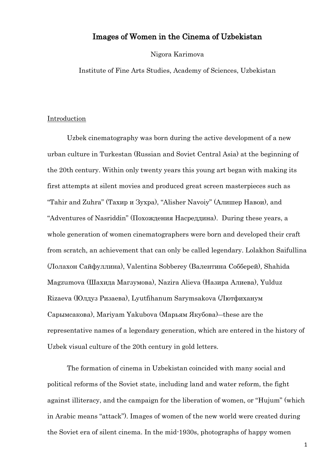# Images of Women in the Cinema of Uzbekistan

Nigora Karimova

Institute of Fine Arts Studies, Academy of Sciences, Uzbekistan

#### Introduction

Uzbek cinematography was born during the active development of a new urban culture in Turkestan (Russian and Soviet Central Asia) at the beginning of the 20th century. Within only twenty years this young art began with making its first attempts at silent movies and produced great screen masterpieces such as "Tahir and Zuhra" (Тахир и Зухра), "Alisher Navoiy" (Алишер Навои), and "Adventures of Nasriddin" (Похождения Насреддина). During these years, a whole generation of women cinematographers were born and developed their craft from scratch, an achievement that can only be called legendary. Lolakhon Saifullina (Лолахон Сайфуллина), Valentina Sobberey (Валентина Собберей), Shahida Magzumova (Шахида Магзумова), Nazira Alieva (Назира Алиева), Yulduz Rizaeva (Юлдуз Ризаева), Lyutfihanum Sarymsakova (Лютфиханум Сарымсакова), Mariyam Yakubova (Марьям Якубова)―these are the representative names of a legendary generation, which are entered in the history of Uzbek visual culture of the 20th century in gold letters.

The formation of cinema in Uzbekistan coincided with many social and political reforms of the Soviet state, including land and water reform, the fight against illiteracy, and the campaign for the liberation of women, or "Hujum" (which in Arabic means "attack"). Images of women of the new world were created during the Soviet era of silent cinema. In the mid-1930s, photographs of happy women

1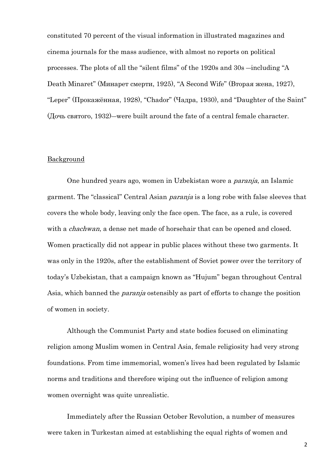constituted 70 percent of the visual information in illustrated magazines and cinema journals for the mass audience, with almost no reports on political processes. The plots of all the "silent films" of the 1920s and 30s ―including "A Death Minaret" (Минарет смерти, 1925), "A Second Wife" (Вторая жена, 1927), "Leper" (Прокажённая, 1928), "Chador" (Чадра, 1930), and "Daughter of the Saint" (Дочь святого, 1932)―were built around the fate of a central female character.

## **Background**

One hundred years ago, women in Uzbekistan wore a paranja, an Islamic garment. The "classical" Central Asian *paranja* is a long robe with false sleeves that covers the whole body, leaving only the face open. The face, as a rule, is covered with a *chachwan*, a dense net made of horsehair that can be opened and closed. Women practically did not appear in public places without these two garments. It was only in the 1920s, after the establishment of Soviet power over the territory of today's Uzbekistan, that a campaign known as "Hujum" began throughout Central Asia, which banned the paranja ostensibly as part of efforts to change the position of women in society.

Although the Communist Party and state bodies focused on eliminating religion among Muslim women in Central Asia, female religiosity had very strong foundations. From time immemorial, women's lives had been regulated by Islamic norms and traditions and therefore wiping out the influence of religion among women overnight was quite unrealistic.

Immediately after the Russian October Revolution, a number of measures were taken in Turkestan aimed at establishing the equal rights of women and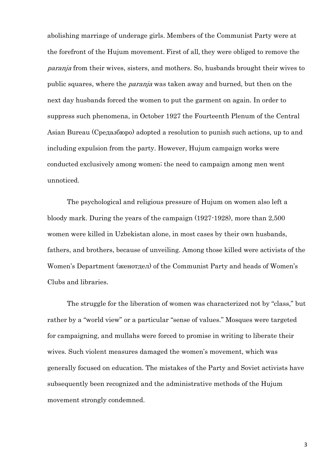abolishing marriage of underage girls. Members of the Communist Party were at the forefront of the Hujum movement. First of all, they were obliged to remove the paranja from their wives, sisters, and mothers. So, husbands brought their wives to public squares, where the paranja was taken away and burned, but then on the next day husbands forced the women to put the garment on again. In order to suppress such phenomena, in October 1927 the Fourteenth Plenum of the Central Asian Bureau (Средазбюро) adopted a resolution to punish such actions, up to and including expulsion from the party. However, Hujum campaign works were conducted exclusively among women; the need to campaign among men went unnoticed.

The psychological and religious pressure of Hujum on women also left a bloody mark. During the years of the campaign (1927-1928), more than 2,500 women were killed in Uzbekistan alone, in most cases by their own husbands, fathers, and brothers, because of unveiling. Among those killed were activists of the Women's Department (женотдел) of the Communist Party and heads of Women's Clubs and libraries.

The struggle for the liberation of women was characterized not by "class," but rather by a "world view" or a particular "sense of values." Mosques were targeted for campaigning, and mullahs were forced to promise in writing to liberate their wives. Such violent measures damaged the women's movement, which was generally focused on education. The mistakes of the Party and Soviet activists have subsequently been recognized and the administrative methods of the Hujum movement strongly condemned.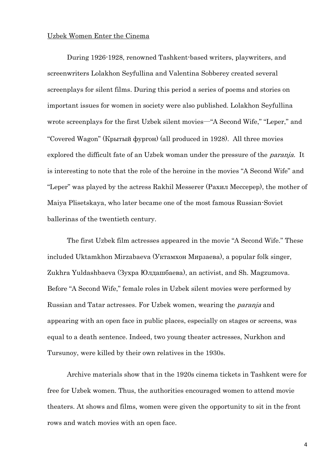### Uzbek Women Enter the Cinema

During 1926-1928, renowned Tashkent-based writers, playwriters, and screenwriters Lolakhon Seyfullina and Valentina Sobberey created several screenplays for silent films. During this period a series of poems and stories on important issues for women in society were also published. Lolakhon Seyfullina wrote screenplays for the first Uzbek silent movies—"A Second Wife," "Leper," and "Covered Wagon" (Крытый фургон) (all produced in 1928). All three movies explored the difficult fate of an Uzbek woman under the pressure of the *paranja*. It is interesting to note that the role of the heroine in the movies "A Second Wife" and "Leper" was played by the actress Rakhil Messerer (Рахил Мессерер), the mother of Maiya Plisetskaya, who later became one of the most famous Russian-Soviet ballerinas of the twentieth century.

The first Uzbek film actresses appeared in the movie "A Second Wife." These included Uktamkhon Mirzabaeva (Уктамхон Мирзаева), a popular folk singer, Zukhra Yuldashbaeva (Зухра Юлдашбаева), an activist, and Sh. Magzumova. Before "A Second Wife," female roles in Uzbek silent movies were performed by Russian and Tatar actresses. For Uzbek women, wearing the *paranja* and appearing with an open face in public places, especially on stages or screens, was equal to a death sentence. Indeed, two young theater actresses, Nurkhon and Tursunoy, were killed by their own relatives in the 1930s.

Archive materials show that in the 1920s cinema tickets in Tashkent were for free for Uzbek women. Thus, the authorities encouraged women to attend movie theaters. At shows and films, women were given the opportunity to sit in the front rows and watch movies with an open face.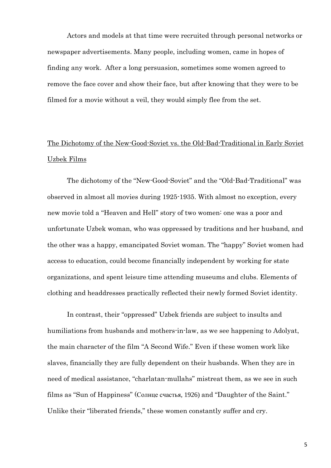Actors and models at that time were recruited through personal networks or newspaper advertisements. Many people, including women, came in hopes of finding any work. After a long persuasion, sometimes some women agreed to remove the face cover and show their face, but after knowing that they were to be filmed for a movie without a veil, they would simply flee from the set.

# The Dichotomy of the New-Good-Soviet vs. the Old-Bad-Traditional in Early Soviet Uzbek Films

The dichotomy of the "New-Good-Soviet" and the "Old-Bad-Traditional" was observed in almost all movies during 1925-1935. With almost no exception, every new movie told a "Heaven and Hell" story of two women: one was a poor and unfortunate Uzbek woman, who was oppressed by traditions and her husband, and the other was a happy, emancipated Soviet woman. The "happy" Soviet women had access to education, could become financially independent by working for state organizations, and spent leisure time attending museums and clubs. Elements of clothing and headdresses practically reflected their newly formed Soviet identity.

In contrast, their "oppressed" Uzbek friends are subject to insults and humiliations from husbands and mothers-in-law, as we see happening to Adolyat, the main character of the film "A Second Wife." Even if these women work like slaves, financially they are fully dependent on their husbands. When they are in need of medical assistance, "charlatan-mullahs" mistreat them, as we see in such films as "Sun of Happiness" (Солнце счастья, 1926) and "Daughter of the Saint." Unlike their "liberated friends," these women constantly suffer and cry.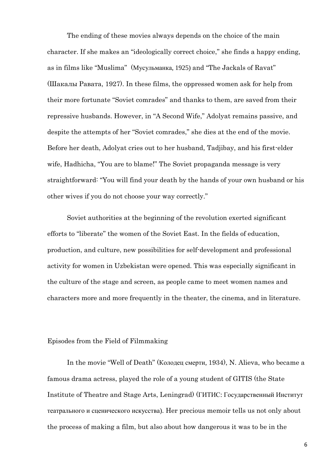The ending of these movies always depends on the choice of the main character. If she makes an "ideologically correct choice," she finds a happy ending, as in films like "Muslima" (Мусульманка, 1925) and "The Jackals of Ravat" (Шакалы Равата, 1927). In these films, the oppressed women ask for help from their more fortunate "Soviet comrades" and thanks to them, are saved from their repressive husbands. However, in "A Second Wife," Adolyat remains passive, and despite the attempts of her "Soviet comrades," she dies at the end of the movie. Before her death, Adolyat cries out to her husband, Tadjibay, and his first-elder wife, Hadhicha, "You are to blame!" The Soviet propaganda message is very straightforward: "You will find your death by the hands of your own husband or his other wives if you do not choose your way correctly."

Soviet authorities at the beginning of the revolution exerted significant efforts to "liberate" the women of the Soviet East. In the fields of education, production, and culture, new possibilities for self-development and professional activity for women in Uzbekistan were opened. This was especially significant in the culture of the stage and screen, as people came to meet women names and characters more and more frequently in the theater, the cinema, and in literature.

# Episodes from the Field of Filmmaking

In the movie "Well of Death" (Колодец смерти, 1934), N. Alieva, who became a famous drama actress, played the role of a young student of GITIS (the State Institute of Theatre and Stage Arts, Leningrad) (ГИТИС: Государственный Институт театрального и сценического искусства). Her precious memoir tells us not only about the process of making a film, but also about how dangerous it was to be in the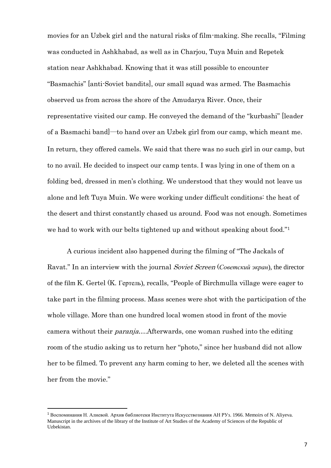movies for an Uzbek girl and the natural risks of film-making. She recalls, "Filming was conducted in Ashkhabad, as well as in Charjou, Tuya Muin and Repetek station near Ashkhabad. Knowing that it was still possible to encounter "Basmachis" [anti-Soviet bandits], our small squad was armed. The Basmachis observed us from across the shore of the Amudarya River. Once, their representative visited our camp. He conveyed the demand of the "kurbashi" [leader of a Basmachi band]―to hand over an Uzbek girl from our camp, which meant me. In return, they offered camels. We said that there was no such girl in our camp, but to no avail. He decided to inspect our camp tents. I was lying in one of them on a folding bed, dressed in men's clothing. We understood that they would not leave us alone and left Tuya Muin. We were working under difficult conditions: the heat of the desert and thirst constantly chased us around. Food was not enough. Sometimes we had to work with our belts tightened up and without speaking about food."<sup>1</sup>

A curious incident also happened during the filming of "The Jackals of Ravat." In an interview with the journal Soviet Screen (*Советский экран*), the director of the film K. Gertel (K. Гертель), recalls, "People of Birchmulla village were eager to take part in the filming process. Mass scenes were shot with the participation of the whole village. More than one hundred local women stood in front of the movie camera without their paranja….Afterwards, one woman rushed into the editing room of the studio asking us to return her "photo," since her husband did not allow her to be filmed. To prevent any harm coming to her, we deleted all the scenes with her from the movie."

<sup>1</sup> Воспоминания Н. Алиевой. Архив библиотеки Института Искусствознания АН РУз. 1966. Memoirs of N. Aliyeva. Manuscript in the archives of the library of the Institute of Art Studies of the Academy of Sciences of the Republic of Uzbekistan.

**.**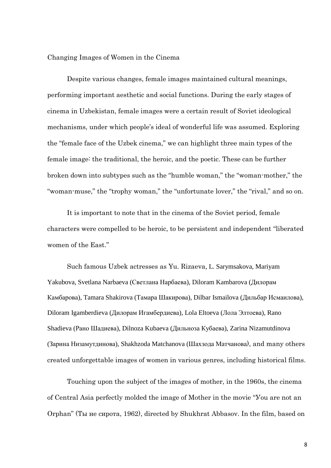### Changing Images of Women in the Cinema

Despite various changes, female images maintained cultural meanings, performing important aesthetic and social functions. During the early stages of cinema in Uzbekistan, female images were a certain result of Soviet ideological mechanisms, under which people's ideal of wonderful life was assumed. Exploring the "female face of the Uzbek cinema," we can highlight three main types of the female image: the traditional, the heroic, and the poetic. These can be further broken down into subtypes such as the "humble woman," the "woman-mother," the "woman-muse," the "trophy woman," the "unfortunate lover," the "rival," and so on.

It is important to note that in the cinema of the Soviet period, female characters were compelled to be heroic, to be persistent and independent "liberated women of the East."

Such famous Uzbek actresses as Yu. Rizaeva, L. Sarymsakova, Mariyam Yakubova, Svetlana Narbaeva (Светлана Нарбаева), Diloram Kambarova (Дилорам Камбарова), Tamara Shakirova (Тамара Шакирова), Dilbar Ismailova (Дильбар Исмаилова), Diloram Igamberdieva (Дилорам Игамбердиева), Lola Eltoeva (Лола Элтоева), Rano Shadieva (Рано Шадиева), Dilnoza Kubaeva (Дильноза Кубаева), Zarina Nizamutdinova (Зарина Низамутдинова), Shakhzoda Matchanova (Шахзода Матчанова), and many others created unforgettable images of women in various genres, including historical films.

Touching upon the subject of the images of mother, in the 1960s, the cinema of Central Asia perfectly molded the image of Mother in the movie "Уou are not an Orphan" (Ты не сирота, 1962), directed by Shukhrat Abbasov. In the film, based on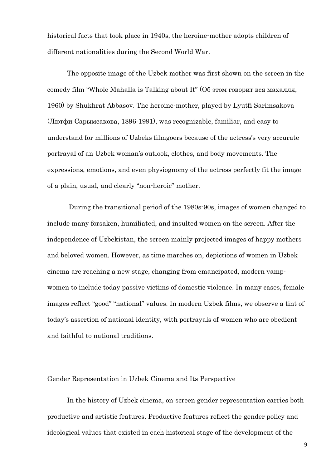historical facts that took place in 1940s, the heroine-mother adopts children of different nationalities during the Second World War.

The opposite image of the Uzbek mother was first shown on the screen in the comedy film "Whole Mahalla is Talking about It" (Об этом говорит вся махалля, 1960) by Shukhrat Abbasov. The heroine-mother, played by Lyutfi Sarimsakova (Лютфи Сарымсакова, 1896-1991), was recognizable, familiar, and easy to understand for millions of Uzbeks filmgoers because of the actress's very accurate portrayal of an Uzbek woman's outlook, clothes, and body movements. The expressions, emotions, and even physiognomy of the actress perfectly fit the image of a plain, usual, and clearly "non-heroic" mother.

During the transitional period of the 1980s-90s, images of women changed to include many forsaken, humiliated, and insulted women on the screen. After the independence of Uzbekistan, the screen mainly projected images of happy mothers and beloved women. However, as time marches on, depictions of women in Uzbek cinema are reaching a new stage, changing from emancipated, modern vampwomen to include today passive victims of domestic violence. In many cases, female images reflect "good" "national" values. In modern Uzbek films, we observe a tint of today's assertion of national identity, with portrayals of women who are obedient and faithful to national traditions.

# Gender Representation in Uzbek Cinema and Its Perspective

In the history of Uzbek cinema, on-screen gender representation carries both productive and artistic features. Productive features reflect the gender policy and ideological values that existed in each historical stage of the development of the